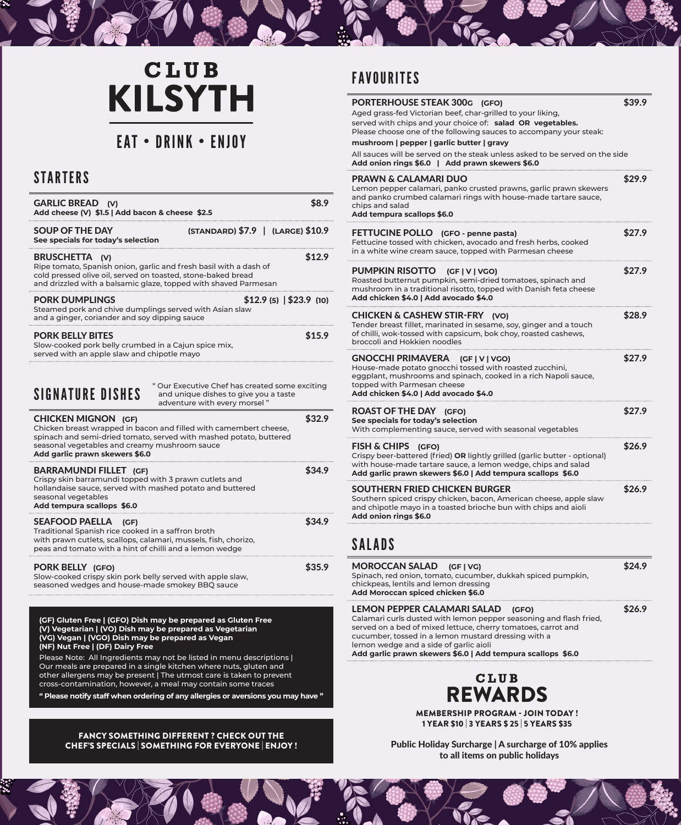# **CLUB KILSYTH**

## EAT • DRINK • ENJOY

### **STARTERS**

| <b>GARLIC BREAD (V)</b><br>Add cheese (V) \$1.5   Add bacon & cheese \$2.5                                                                                                                                                                               |                                                                                                                         |
|----------------------------------------------------------------------------------------------------------------------------------------------------------------------------------------------------------------------------------------------------------|-------------------------------------------------------------------------------------------------------------------------|
| <b>SOUP OF THE DAY</b><br>See specials for today's selection                                                                                                                                                                                             | (STANDARD) \$7.9   (LARGE) \$10.9                                                                                       |
| <b>BRUSCHET IA</b><br>Ripe tomato, Spanish onion, garlic and fresh basil with a dash of<br>cold pressed olive oil, served on toasted, stone-baked bread<br>and drizzled with a balsamic glaze, topped with shaved Parmesan                               | \$12.9                                                                                                                  |
| PORK DUMPLINGS<br>Steamed pork and chive dumplings served with Asian slaw<br>and a ginger, coriander and soy dipping sauce                                                                                                                               | $$12.9$ (5) $  $23.9$ (10)                                                                                              |
| <b>PORK BELLY BITES</b><br>Slow-cooked pork belly crumbed in a Cajun spice mix,<br>served with an apple slaw and chipotle mayo                                                                                                                           | \$15.9                                                                                                                  |
| <b><i>SIGNATURE DISHES</i></b>                                                                                                                                                                                                                           | " Our Executive Chef has created some exciting<br>and unique dishes to give you a taste<br>adventure with every morsel" |
| <b>CHICKEN MIGNON (GF)</b><br>Chicken breast wrapped in bacon and filled with camembert cheese,<br>spinach and semi-dried tomato, served with mashed potato, buttered<br>seasonal vegetables and creamy mushroom sauce<br>Add garlic prawn skewers \$6.0 | \$32.9                                                                                                                  |
| <b>BARRAMUNDI FILLET</b> (GF)<br>Crispy skin barramundi topped with 3 prawn cutlets and<br>hollandaise sauce, served with mashed potato and buttered<br>seasonal vegetables<br>Add tempura scallops \$6.0                                                | \$34.9                                                                                                                  |
| <b>SEAFOOD PAELLA</b><br>(GF)<br>Traditional Spanish rice cooked in a saffron broth<br>with prawn cutlets, scallops, calamari, mussels, fish, chorizo,<br>peas and tomato with a hint of chilli and a lemon wedge                                        | \$34.9                                                                                                                  |
| PORK BELLY (GFO)<br>Slow-cooked crispy skin pork belly served with apple slaw,<br>seasoned wedges and house-made smokey BBQ sauce                                                                                                                        | \$35.9                                                                                                                  |

**(GF) Gluten Free | (GFO) Dish may be prepared as Gluten Free (V) Vegetarian | (VO) Dish may be prepared as Vegetarian (VG) Vegan | (VGO) Dish may be prepared as Vegan (NF) Nut Free | (DF) Dairy Free**

Please Note: All Ingredients may not be listed in menu descriptions | Our meals are prepared in a single kitchen where nuts, gluten and other allergens may be present | The utmost care is taken to prevent cross-contamination, however, a meal may contain some traces

**" Please notify staff when ordering of any allergies or aversions you may have "**

#### FANCY SOMETHING DIFFERENT ? CHECK OUT THE CHEF'S SPECIALS | SOMETHING FOR EVERYONE | ENJOY !

## FAVOURITES

| PORTERHOUSE STEAK 300G (GFO)<br>Aged grass-fed Victorian beef, char-grilled to your liking,<br>served with chips and your choice of: salad OR vegetables.<br>Please choose one of the following sauces to accompany your steak:                | \$39.9 |
|------------------------------------------------------------------------------------------------------------------------------------------------------------------------------------------------------------------------------------------------|--------|
| mushroom   pepper   garlic butter   gravy<br>All sauces will be served on the steak unless asked to be served on the side<br>Add onion rings \$6.0   Add prawn skewers \$6.0                                                                   |        |
| <b>PRAWN &amp; CALAMARI DUO</b><br>Lemon pepper calamari, panko crusted prawns, garlic prawn skewers<br>and panko crumbed calamari rings with house-made tartare sauce,<br>chips and salad<br>Add tempura scallops \$6.0                       | \$29.9 |
| FETTUCINE POLLO (GFO - penne pasta)<br>Fettucine tossed with chicken, avocado and fresh herbs, cooked<br>in a white wine cream sauce, topped with Parmesan cheese                                                                              | \$27.9 |
| <b>PUMPKIN RISOTTO</b><br>(GF V VGO)<br>Roasted butternut pumpkin, semi-dried tomatoes, spinach and<br>mushroom in a traditional risotto, topped with Danish feta cheese<br>Add chicken \$4.0   Add avocado \$4.0                              | \$27.9 |
| <b>CHICKEN &amp; CASHEW STIR-FRY (VO)</b><br>Tender breast fillet, marinated in sesame, soy, ginger and a touch<br>of chilli, wok-tossed with capsicum, bok choy, roasted cashews,<br>broccoli and Hokkien noodles                             | \$28.9 |
| GNOCCHI PRIMAVERA (GF   V   VGO)<br>House-made potato gnocchi tossed with roasted zucchini,<br>eggplant, mushrooms and spinach, cooked in a rich Napoli sauce,<br>topped with Parmesan cheese<br>Add chicken \$4.0   Add avocado \$4.0         | \$27.9 |
| <b>ROAST OF THE DAY (GFO)</b><br>See specials for today's selection<br>With complementing sauce, served with seasonal vegetables                                                                                                               | \$27.9 |
| <b>FISH &amp; CHIPS</b><br>(GFO)<br>Crispy beer-battered (fried) OR lightly grilled (garlic butter - optional)<br>with house-made tartare sauce, a lemon wedge, chips and salad<br>Add garlic prawn skewers \$6.0   Add tempura scallops \$6.0 | \$26.9 |
| SOUTHERN FRIED CHICKEN BURGER<br>Southern spiced crispy chicken, bacon, American cheese, apple slaw<br>and chipotle mayo in a toasted brioche bun with chips and aioli<br>Add onion rings \$6.0                                                | \$26.9 |
| SALADS                                                                                                                                                                                                                                         |        |
| <b>MOROCCAN SALAD</b><br>(GF   VG)<br>Spinach, red onion, tomato, cucumber, dukkah spiced pumpkin,                                                                                                                                             | \$24.9 |

chickpeas, lentils and lemon dressing **Add Moroccan spiced chicken \$6.0**

LEMON PEPPER CALAMARI SALAD **(GFO)** \$26.9 Calamari curls dusted with lemon pepper seasoning and flash fried, served on a bed of mixed lettuce, cherry tomatoes, carrot and cucumber, tossed in a lemon mustard dressing with a lemon wedge and a side of garlic aioli **Add garlic prawn skewers \$6.0 | Add tempura scallops \$6.0**



MEMBERSHIP PROGRAM - JOIN TODAY ! 1 YEAR \$10 | 3 YEARS \$ 25 | 5 YEARS \$35

Public Holiday Surcharge | A surcharge of 10% applies to all items on public holidays